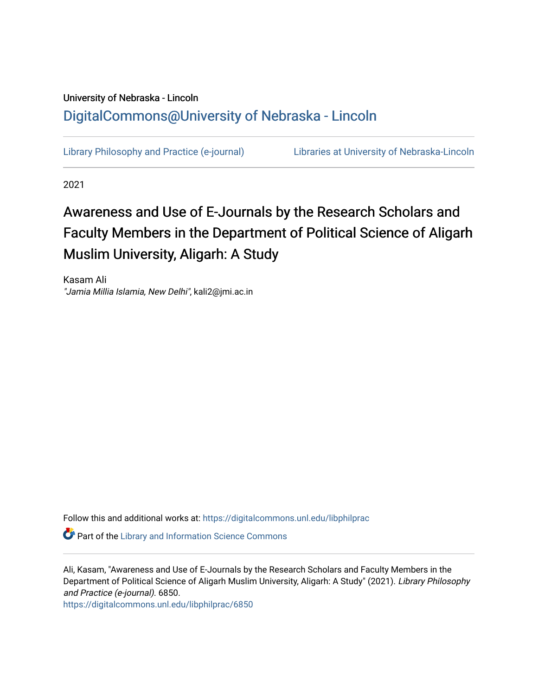# University of Nebraska - Lincoln [DigitalCommons@University of Nebraska - Lincoln](https://digitalcommons.unl.edu/)

[Library Philosophy and Practice \(e-journal\)](https://digitalcommons.unl.edu/libphilprac) [Libraries at University of Nebraska-Lincoln](https://digitalcommons.unl.edu/libraries) 

2021

# Awareness and Use of E-Journals by the Research Scholars and Faculty Members in the Department of Political Science of Aligarh Muslim University, Aligarh: A Study

Kasam Ali "Jamia Millia Islamia, New Delhi", kali2@jmi.ac.in

Follow this and additional works at: [https://digitalcommons.unl.edu/libphilprac](https://digitalcommons.unl.edu/libphilprac?utm_source=digitalcommons.unl.edu%2Flibphilprac%2F6850&utm_medium=PDF&utm_campaign=PDFCoverPages) 

**Part of the Library and Information Science Commons** 

Ali, Kasam, "Awareness and Use of E-Journals by the Research Scholars and Faculty Members in the Department of Political Science of Aligarh Muslim University, Aligarh: A Study" (2021). Library Philosophy and Practice (e-journal). 6850.

[https://digitalcommons.unl.edu/libphilprac/6850](https://digitalcommons.unl.edu/libphilprac/6850?utm_source=digitalcommons.unl.edu%2Flibphilprac%2F6850&utm_medium=PDF&utm_campaign=PDFCoverPages)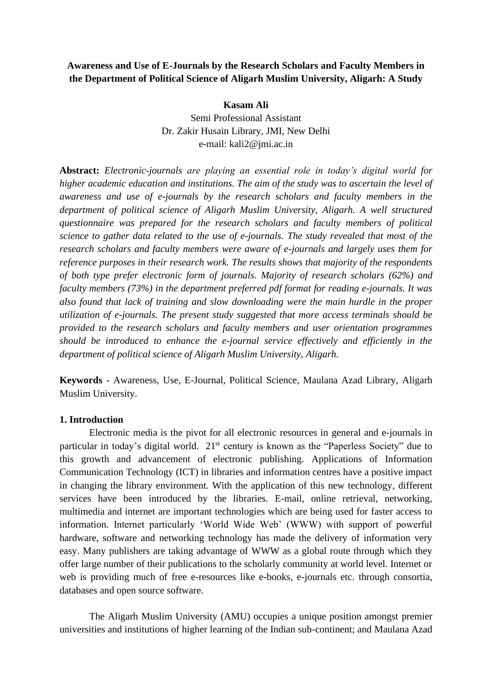# **Awareness and Use of E-Journals by the Research Scholars and Faculty Members in the Department of Political Science of Aligarh Muslim University, Aligarh: A Study**

#### **Kasam Ali**

Semi Professional Assistant Dr. Zakir Husain Library, JMI, New Delhi e-mail: kali2@jmi.ac.in

**Abstract:** *Electronic-journals are playing an essential role in today's digital world for higher academic education and institutions. The aim of the study was to ascertain the level of awareness and use of e-journals by the research scholars and faculty members in the department of political science of Aligarh Muslim University, Aligarh. A well structured questionnaire was prepared for the research scholars and faculty members of political science to gather data related to the use of e-journals. The study revealed that most of the research scholars and faculty members were aware of e-journals and largely uses them for reference purposes in their research work. The results shows that majority of the respondents of both type prefer electronic form of journals. Majority of research scholars (62%) and faculty members (73%) in the department preferred pdf format for reading e-journals. It was also found that lack of training and slow downloading were the main hurdle in the proper utilization of e-journals. The present study suggested that more access terminals should be provided to the research scholars and faculty members and user orientation programmes should be introduced to enhance the e-journal service effectively and efficiently in the department of political science of Aligarh Muslim University, Aligarh.*

**Keywords** - Awareness, Use, E-Journal, Political Science, Maulana Azad Library, Aligarh Muslim University.

#### **1. Introduction**

Electronic media is the pivot for all electronic resources in general and e-journals in particular in today's digital world. 21<sup>st</sup> century is known as the "Paperless Society" due to this growth and advancement of electronic publishing. Applications of Information Communication Technology (ICT) in libraries and information centres have a positive impact in changing the library environment. With the application of this new technology, different services have been introduced by the libraries. E-mail, online retrieval, networking, multimedia and internet are important technologies which are being used for faster access to information. Internet particularly 'World Wide Web' (WWW) with support of powerful hardware, software and networking technology has made the delivery of information very easy. Many publishers are taking advantage of WWW as a global route through which they offer large number of their publications to the scholarly community at world level. Internet or web is providing much of free e-resources like e-books, e-journals etc. through consortia, databases and open source software.

The Aligarh Muslim University (AMU) occupies a unique position amongst premier universities and institutions of higher learning of the Indian sub-continent; and Maulana Azad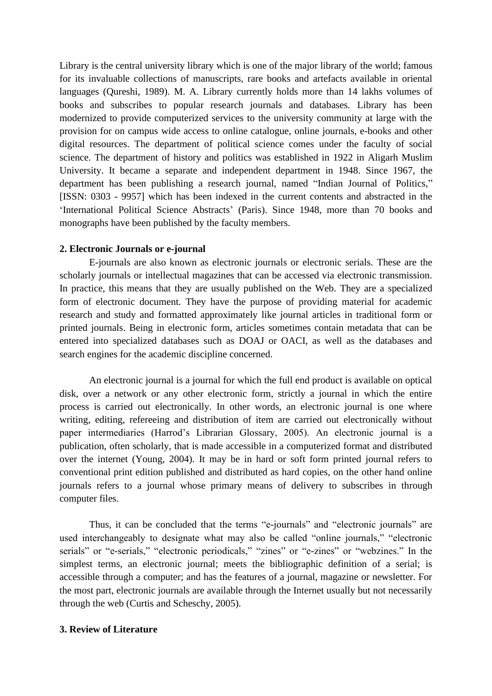Library is the central university library which is one of the major library of the world; famous for its invaluable collections of manuscripts, rare books and artefacts available in oriental languages (Qureshi, 1989). M. A. Library currently holds more than 14 lakhs volumes of books and subscribes to popular research journals and databases. Library has been modernized to provide computerized services to the university community at large with the provision for on campus wide access to online catalogue, online journals, e-books and other digital resources. The department of political science comes under the faculty of social science. The department of history and politics was established in 1922 in Aligarh Muslim University. It became a separate and independent department in 1948. Since 1967, the department has been publishing a research journal, named "Indian Journal of Politics," [ISSN: 0303 - 9957] which has been indexed in the current contents and abstracted in the 'International Political Science Abstracts' (Paris). Since 1948, more than 70 books and monographs have been published by the faculty members.

#### **2. Electronic Journals or e-journal**

E-journals are also known as electronic journals or electronic serials. These are the scholarly journals or intellectual magazines that can be accessed via electronic transmission. In practice, this means that they are usually published on the Web. They are a specialized form of electronic document. They have the purpose of providing material for academic research and study and formatted approximately like journal articles in traditional form or printed journals. Being in electronic form, articles sometimes contain metadata that can be entered into specialized databases such as DOAJ or OACI, as well as the databases and search engines for the academic discipline concerned.

An electronic journal is a journal for which the full end product is available on optical disk, over a network or any other electronic form, strictly a journal in which the entire process is carried out electronically. In other words, an electronic journal is one where writing, editing, refereeing and distribution of item are carried out electronically without paper intermediaries (Harrod's Librarian Glossary, 2005). An electronic journal is a publication, often scholarly, that is made accessible in a computerized format and distributed over the internet (Young, 2004). It may be in hard or soft form printed journal refers to conventional print edition published and distributed as hard copies, on the other hand online journals refers to a journal whose primary means of delivery to subscribes in through computer files.

Thus, it can be concluded that the terms "e-journals" and "electronic journals" are used interchangeably to designate what may also be called "online journals," "electronic serials" or "e-serials," "electronic periodicals," "zines" or "e-zines" or "webzines." In the simplest terms, an electronic journal; meets the bibliographic definition of a serial; is accessible through a computer; and has the features of a journal, magazine or newsletter. For the most part, electronic journals are available through the Internet usually but not necessarily through the web (Curtis and Scheschy, 2005).

#### **3. Review of Literature**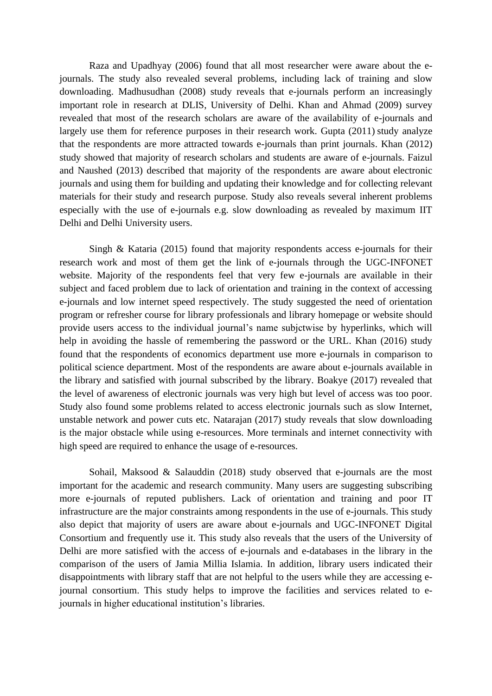Raza and Upadhyay (2006) found that all most researcher were aware about the ejournals. The study also revealed several problems, including lack of training and slow downloading. Madhusudhan (2008) study reveals that e-journals perform an increasingly important role in research at DLIS, University of Delhi. Khan and Ahmad (2009) survey revealed that most of the research scholars are aware of the availability of e-journals and largely use them for reference purposes in their research work. Gupta (2011) study analyze that the respondents are more attracted towards e-journals than print journals. Khan (2012) study showed that majority of research scholars and students are aware of e-journals. Faizul and Naushed (2013) described that majority of the respondents are aware about electronic journals and using them for building and updating their knowledge and for collecting relevant materials for their study and research purpose. Study also reveals several inherent problems especially with the use of e-journals e.g. slow downloading as revealed by maximum IIT Delhi and Delhi University users.

Singh & Kataria (2015) found that majority respondents access e-journals for their research work and most of them get the link of e-journals through the UGC-INFONET website. Majority of the respondents feel that very few e-journals are available in their subject and faced problem due to lack of orientation and training in the context of accessing e-journals and low internet speed respectively. The study suggested the need of orientation program or refresher course for library professionals and library homepage or website should provide users access to the individual journal's name subjctwise by hyperlinks, which will help in avoiding the hassle of remembering the password or the URL. Khan (2016) study found that the respondents of economics department use more e-journals in comparison to political science department. Most of the respondents are aware about e-journals available in the library and satisfied with journal subscribed by the library. Boakye (2017) revealed that the level of awareness of electronic journals was very high but level of access was too poor. Study also found some problems related to access electronic journals such as slow Internet, unstable network and power cuts etc. Natarajan (2017) study reveals that slow downloading is the major obstacle while using e-resources. More terminals and internet connectivity with high speed are required to enhance the usage of e-resources.

Sohail, Maksood & Salauddin (2018) study observed that e-journals are the most important for the academic and research community. Many users are suggesting subscribing more e-journals of reputed publishers. Lack of orientation and training and poor IT infrastructure are the major constraints among respondents in the use of e-journals. This study also depict that majority of users are aware about e-journals and UGC-INFONET Digital Consortium and frequently use it. This study also reveals that the users of the University of Delhi are more satisfied with the access of e-journals and e-databases in the library in the comparison of the users of Jamia Millia Islamia. In addition, library users indicated their disappointments with library staff that are not helpful to the users while they are accessing ejournal consortium. This study helps to improve the facilities and services related to ejournals in higher educational institution's libraries.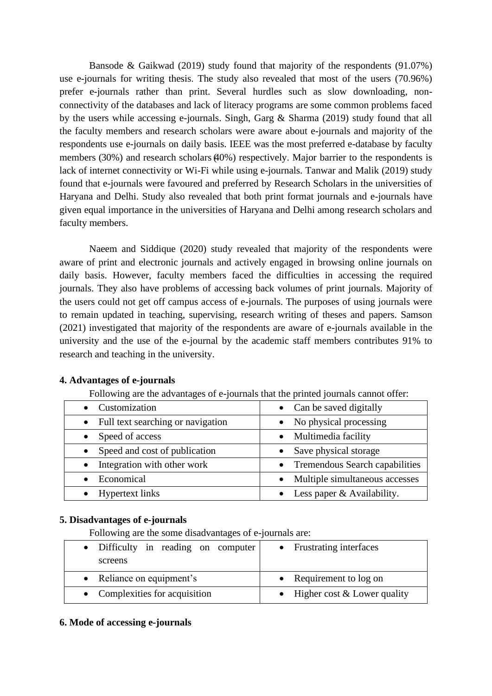Bansode & Gaikwad (2019) study found that majority of the respondents (91.07%) use e-journals for writing thesis. The study also revealed that most of the users (70.96%) prefer e-journals rather than print. Several hurdles such as slow downloading, nonconnectivity of the databases and lack of literacy programs are some common problems faced by the users while accessing e-journals. Singh, Garg & Sharma (2019) study found that all the faculty members and research scholars were aware about e-journals and majority of the respondents use e-journals on daily basis. IEEE was the most preferred e-database by faculty members (30%) and research scholars (40%) respectively. Major barrier to the respondents is lack of internet connectivity or Wi-Fi while using e-journals. Tanwar and Malik (2019) study found that e-journals were favoured and preferred by Research Scholars in the universities of Haryana and Delhi. Study also revealed that both print format journals and e-journals have given equal importance in the universities of Haryana and Delhi among research scholars and faculty members.

Naeem and Siddique (2020) study revealed that majority of the respondents were aware of print and electronic journals and actively engaged in browsing online journals on daily basis. However, faculty members faced the difficulties in accessing the required journals. They also have problems of accessing back volumes of print journals. Majority of the users could not get off campus access of e-journals. The purposes of using journals were to remain updated in teaching, supervising, research writing of theses and papers. Samson (2021) investigated that majority of the respondents are aware of e-journals available in the university and the use of the e-journal by the academic staff members contributes 91% to research and teaching in the university.

| Following are the advantages of e-journals that the printed journals cannot offer: |                                  |  |  |  |  |  |
|------------------------------------------------------------------------------------|----------------------------------|--|--|--|--|--|
| Customization                                                                      | Can be saved digitally           |  |  |  |  |  |
| Full text searching or navigation                                                  | No physical processing           |  |  |  |  |  |
| Speed of access                                                                    | Multimedia facility              |  |  |  |  |  |
| Speed and cost of publication                                                      | Save physical storage            |  |  |  |  |  |
| Integration with other work                                                        | • Tremendous Search capabilities |  |  |  |  |  |
| Economical                                                                         | Multiple simultaneous accesses   |  |  |  |  |  |
| <b>Hypertext links</b>                                                             | Less paper & Availability.       |  |  |  |  |  |

# **4. Advantages of e-journals**

# **5. Disadvantages of e-journals**

Following are the some disadvantages of e-journals are:

| • Difficulty in reading on computer<br>screens | • Frustrating interfaces        |
|------------------------------------------------|---------------------------------|
| • Reliance on equipment's                      | • Requirement to log on         |
| • Complexities for acquisition                 | • Higher cost $&$ Lower quality |

# **6. Mode of accessing e-journals**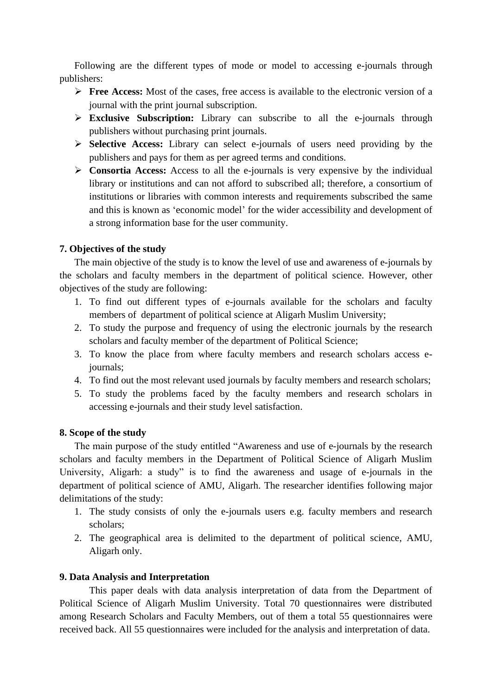Following are the different types of mode or model to accessing e-journals through publishers:

- ➢ **Free Access:** Most of the cases, free access is available to the electronic version of a journal with the print journal subscription.
- ➢ **Exclusive Subscription:** Library can subscribe to all the e-journals through publishers without purchasing print journals.
- ➢ **Selective Access:** Library can select e-journals of users need providing by the publishers and pays for them as per agreed terms and conditions.
- ➢ **Consortia Access:** Access to all the e-journals is very expensive by the individual library or institutions and can not afford to subscribed all; therefore, a consortium of institutions or libraries with common interests and requirements subscribed the same and this is known as 'economic model' for the wider accessibility and development of a strong information base for the user community.

# **7. Objectives of the study**

The main objective of the study is to know the level of use and awareness of e-journals by the scholars and faculty members in the department of political science. However, other objectives of the study are following:

- 1. To find out different types of e-journals available for the scholars and faculty members of department of political science at Aligarh Muslim University;
- 2. To study the purpose and frequency of using the electronic journals by the research scholars and faculty member of the department of Political Science;
- 3. To know the place from where faculty members and research scholars access ejournals;
- 4. To find out the most relevant used journals by faculty members and research scholars;
- 5. To study the problems faced by the faculty members and research scholars in accessing e-journals and their study level satisfaction.

#### **8. Scope of the study**

The main purpose of the study entitled "Awareness and use of e-journals by the research scholars and faculty members in the Department of Political Science of Aligarh Muslim University, Aligarh: a study" is to find the awareness and usage of e-journals in the department of political science of AMU, Aligarh. The researcher identifies following major delimitations of the study:

- 1. The study consists of only the e-journals users e.g. faculty members and research scholars;
- 2. The geographical area is delimited to the department of political science, AMU, Aligarh only.

#### **9. Data Analysis and Interpretation**

This paper deals with data analysis interpretation of data from the Department of Political Science of Aligarh Muslim University. Total 70 questionnaires were distributed among Research Scholars and Faculty Members, out of them a total 55 questionnaires were received back. All 55 questionnaires were included for the analysis and interpretation of data.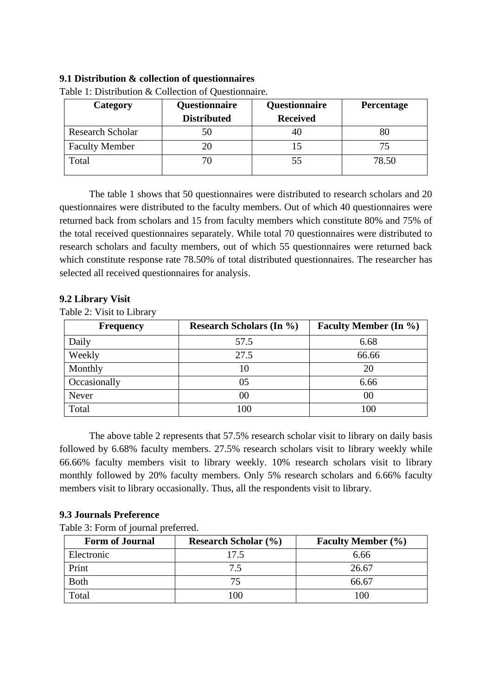#### **9.1 Distribution & collection of questionnaires**

| Category                | Questionnaire      | Questionnaire   | Percentage |
|-------------------------|--------------------|-----------------|------------|
|                         | <b>Distributed</b> | <b>Received</b> |            |
| <b>Research Scholar</b> | 50                 | 40              | 80         |
| <b>Faculty Member</b>   | 20                 |                 |            |
| Total                   | 70                 | 55              | 78.50      |

Table 1: Distribution & Collection of Questionnaire.

The table 1 shows that 50 questionnaires were distributed to research scholars and 20 questionnaires were distributed to the faculty members. Out of which 40 questionnaires were returned back from scholars and 15 from faculty members which constitute 80% and 75% of the total received questionnaires separately. While total 70 questionnaires were distributed to research scholars and faculty members, out of which 55 questionnaires were returned back which constitute response rate 78.50% of total distributed questionnaires. The researcher has selected all received questionnaires for analysis.

# **9.2 Library Visit**

Table 2: Visit to Library

| <b>Frequency</b> | <b>Research Scholars (In %)</b> | <b>Faculty Member (In %)</b> |
|------------------|---------------------------------|------------------------------|
| Daily            | 57.5                            | 6.68                         |
| Weekly           | 27.5                            | 66.66                        |
| Monthly          | 10                              | 20                           |
| Occasionally     | 05                              | 6.66                         |
| Never            | $00\,$                          | $00\,$                       |
| Total            |                                 | 100                          |

The above table 2 represents that 57.5% research scholar visit to library on daily basis followed by 6.68% faculty members. 27.5% research scholars visit to library weekly while 66.66% faculty members visit to library weekly. 10% research scholars visit to library monthly followed by 20% faculty members. Only 5% research scholars and 6.66% faculty members visit to library occasionally. Thus, all the respondents visit to library.

#### **9.3 Journals Preference**

| <b>Form of Journal</b> | <b>Research Scholar (%)</b> | <b>Faculty Member (%)</b> |
|------------------------|-----------------------------|---------------------------|
| Electronic             | 17.5                        | 6.66                      |
| Print                  | 7.5                         | 26.67                     |
| <b>Both</b>            |                             | 66.67                     |
| Total                  | 100                         | 100                       |

Table 3: Form of journal preferred.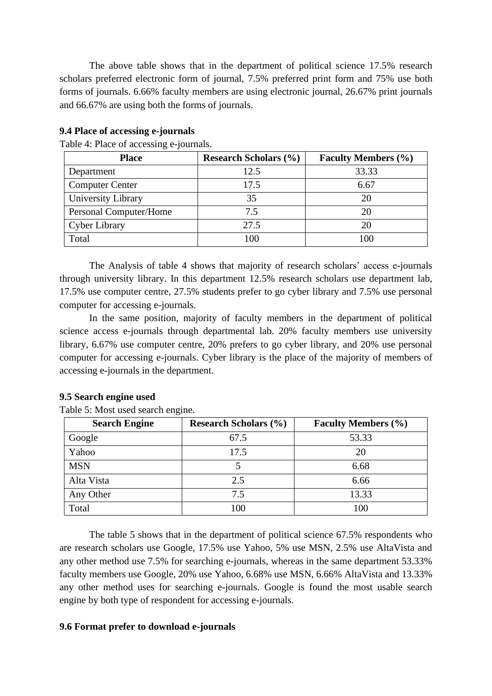The above table shows that in the department of political science 17.5% research scholars preferred electronic form of journal, 7.5% preferred print form and 75% use both forms of journals. 6.66% faculty members are using electronic journal, 26.67% print journals and 66.67% are using both the forms of journals.

| <b>Place</b>           | <b>Research Scholars (%)</b> | <b>Faculty Members (%)</b> |
|------------------------|------------------------------|----------------------------|
| Department             | 12.5                         | 33.33                      |
| <b>Computer Center</b> | 17.5                         | 6.67                       |
| University Library     | 35                           | 20                         |
| Personal Computer/Home | 7.5                          | 20                         |
| Cyber Library          | 27.5                         | 20                         |
| Total                  | 100                          | 100                        |

#### **9.4 Place of accessing e-journals**

Table 4: Place of accessing e-journals.

The Analysis of table 4 shows that majority of research scholars' access e-journals through university library. In this department 12.5% research scholars use department lab, 17.5% use computer centre, 27.5% students prefer to go cyber library and 7.5% use personal computer for accessing e-journals.

In the same position, majority of faculty members in the department of political science access e-journals through departmental lab. 20% faculty members use university library, 6.67% use computer centre, 20% prefers to go cyber library, and 20% use personal computer for accessing e-journals. Cyber library is the place of the majority of members of accessing e-journals in the department.

#### **9.5 Search engine used**

Table 5: Most used search engine.

| <b>Search Engine</b> | <b>Research Scholars (%)</b> | <b>Faculty Members (%)</b> |
|----------------------|------------------------------|----------------------------|
| Google               | 67.5                         | 53.33                      |
| Yahoo                | 17.5                         | 20                         |
| <b>MSN</b>           |                              | 6.68                       |
| Alta Vista           | 2.5                          | 6.66                       |
| Any Other            | 7.5                          | 13.33                      |
| Total                | 100                          | 100                        |

The table 5 shows that in the department of political science 67.5% respondents who are research scholars use Google, 17.5% use Yahoo, 5% use MSN, 2.5% use AltaVista and any other method use 7.5% for searching e-journals, whereas in the same department 53.33% faculty members use Google, 20% use Yahoo, 6.68% use MSN, 6.66% AltaVista and 13.33% any other method uses for searching e-journals. Google is found the most usable search engine by both type of respondent for accessing e-journals.

#### **9.6 Format prefer to download e-journals**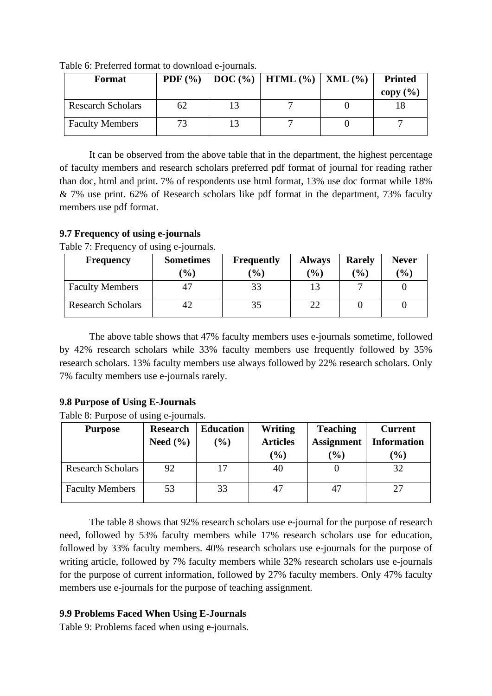| <b>Format</b>            |    | <b>PDF</b> $(\%)$   <b>DOC</b> $(\%)$   <b>HTML</b> $(\%)$   <b>XML</b> $(\%)$ | <b>Printed</b> |
|--------------------------|----|--------------------------------------------------------------------------------|----------------|
| <b>Research Scholars</b> | 62 |                                                                                | copy $(\% )$   |
| <b>Faculty Members</b>   | 73 |                                                                                |                |

Table 6: Preferred format to download e-journals.

It can be observed from the above table that in the department, the highest percentage of faculty members and research scholars preferred pdf format of journal for reading rather than doc, html and print. 7% of respondents use html format, 13% use doc format while 18% & 7% use print. 62% of Research scholars like pdf format in the department, 73% faculty members use pdf format.

# **9.7 Frequency of using e-journals**

Table 7: Frequency of using e-journals.

| <b>Frequency</b>         | <b>Sometimes</b>             | <b>Frequently</b> | <b>Always</b>    | <b>Rarely</b> | <b>Never</b> |
|--------------------------|------------------------------|-------------------|------------------|---------------|--------------|
|                          | $\left( \frac{0}{0} \right)$ | $\frac{1}{2}$     | $\mathcal{O}(6)$ | $($ %)        | $(\%)$       |
| <b>Faculty Members</b>   |                              |                   |                  |               |              |
| <b>Research Scholars</b> |                              |                   |                  |               |              |

The above table shows that 47% faculty members uses e-journals sometime, followed by 42% research scholars while 33% faculty members use frequently followed by 35% research scholars. 13% faculty members use always followed by 22% research scholars. Only 7% faculty members use e-journals rarely.

# **9.8 Purpose of Using E-Journals**

Table 8: Purpose of using e-journals.

| <b>Purpose</b>           | <b>Research</b> | <b>Education</b> | Writing                         | <b>Teaching</b>   | <b>Current</b>     |
|--------------------------|-----------------|------------------|---------------------------------|-------------------|--------------------|
|                          | Need $(\% )$    | $(\%)$           | <b>Articles</b>                 | <b>Assignment</b> | <b>Information</b> |
|                          |                 |                  | $\frac{1}{2}$ ( $\frac{1}{2}$ ) | $(\%)$            | $\frac{1}{2}$      |
| <b>Research Scholars</b> | 92              | 17               | 40                              |                   | 32                 |
| <b>Faculty Members</b>   | 53              | 33               | 47                              | 47                | 27                 |

The table 8 shows that 92% research scholars use e-journal for the purpose of research need, followed by 53% faculty members while 17% research scholars use for education, followed by 33% faculty members. 40% research scholars use e-journals for the purpose of writing article, followed by 7% faculty members while 32% research scholars use e-journals for the purpose of current information, followed by 27% faculty members. Only 47% faculty members use e-journals for the purpose of teaching assignment.

# **9.9 Problems Faced When Using E-Journals**

Table 9: Problems faced when using e-journals.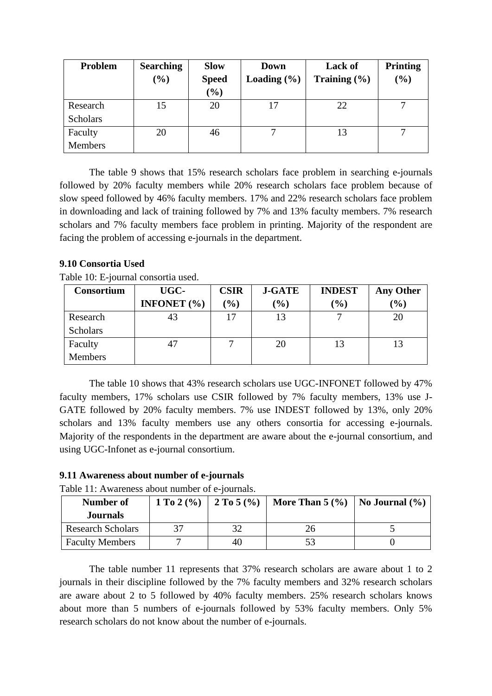| Problem         | <b>Searching</b><br>$(\%)$ | <b>Slow</b><br><b>Speed</b><br>$(\%)$ | Down<br>Loading $(\% )$ | <b>Lack of</b><br>Training $(\% )$ | <b>Printing</b><br>$(\%)$ |
|-----------------|----------------------------|---------------------------------------|-------------------------|------------------------------------|---------------------------|
| Research        | 15                         | 20                                    | 17                      | 22                                 | 7                         |
| <b>Scholars</b> |                            |                                       |                         |                                    |                           |
| Faculty         | 20                         | 46                                    |                         |                                    |                           |
| <b>Members</b>  |                            |                                       |                         |                                    |                           |

The table 9 shows that 15% research scholars face problem in searching e-journals followed by 20% faculty members while 20% research scholars face problem because of slow speed followed by 46% faculty members. 17% and 22% research scholars face problem in downloading and lack of training followed by 7% and 13% faculty members. 7% research scholars and 7% faculty members face problem in printing. Majority of the respondent are facing the problem of accessing e-journals in the department.

# **9.10 Consortia Used**

Table 10: E-journal consortia used.

| Consortium      | UGC-                   | <b>CSIR</b> | <b>J-GATE</b> | <b>INDEST</b> | <b>Any Other</b> |
|-----------------|------------------------|-------------|---------------|---------------|------------------|
|                 | <b>INFONET</b> $(\% )$ | (%)         | $\frac{9}{0}$ | (%)           | (%)              |
| Research        | 43                     | 17          | 13            | −             | 20               |
| <b>Scholars</b> |                        |             |               |               |                  |
| Faculty         | 47                     |             | 20            | 13            |                  |
| <b>Members</b>  |                        |             |               |               |                  |

The table 10 shows that 43% research scholars use UGC-INFONET followed by 47% faculty members, 17% scholars use CSIR followed by 7% faculty members, 13% use J-GATE followed by 20% faculty members. 7% use INDEST followed by 13%, only 20% scholars and 13% faculty members use any others consortia for accessing e-journals. Majority of the respondents in the department are aware about the e-journal consortium, and using UGC-Infonet as e-journal consortium.

# **9.11 Awareness about number of e-journals**

Table 11: Awareness about number of e-journals.

| Number of                | $1 \text{ To } 2 \frac{9}{6}$   $2 \text{ To } 5 \frac{9}{6}$ |    | More Than $5 \frac{9}{6}$   No Journal $\frac{9}{6}$ |  |
|--------------------------|---------------------------------------------------------------|----|------------------------------------------------------|--|
| <b>Journals</b>          |                                                               |    |                                                      |  |
| <b>Research Scholars</b> |                                                               |    |                                                      |  |
| <b>Faculty Members</b>   |                                                               | 40 | 53                                                   |  |

The table number 11 represents that 37% research scholars are aware about 1 to 2 journals in their discipline followed by the 7% faculty members and 32% research scholars are aware about 2 to 5 followed by 40% faculty members. 25% research scholars knows about more than 5 numbers of e-journals followed by 53% faculty members. Only 5% research scholars do not know about the number of e-journals.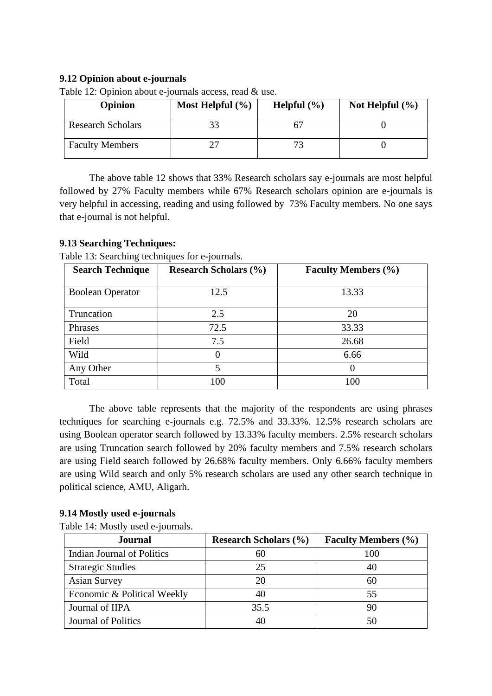# **9.12 Opinion about e-journals**

| <b>Opinion</b>           | Most Helpful $(\% )$ | Helpful $(\% )$ | Not Helpful $(\% )$ |
|--------------------------|----------------------|-----------------|---------------------|
| <b>Research Scholars</b> |                      |                 |                     |
| <b>Faculty Members</b>   |                      | 73              |                     |

Table 12: Opinion about e-journals access, read & use.

The above table 12 shows that 33% Research scholars say e-journals are most helpful followed by 27% Faculty members while 67% Research scholars opinion are e-journals is very helpful in accessing, reading and using followed by 73% Faculty members. No one says that e-journal is not helpful.

# **9.13 Searching Techniques:**

| <b>Search Technique</b> | <b>Research Scholars (%)</b> | <b>Faculty Members (%)</b> |
|-------------------------|------------------------------|----------------------------|
| <b>Boolean Operator</b> | 12.5                         | 13.33                      |
| Truncation              | 2.5                          | 20                         |
| Phrases                 | 72.5                         | 33.33                      |
| Field                   | 7.5                          | 26.68                      |
| Wild                    | $\Omega$                     | 6.66                       |
| Any Other               | 5                            | 0                          |
| Total                   | 100                          | 100                        |

Table 13: Searching techniques for e-journals.

The above table represents that the majority of the respondents are using phrases techniques for searching e-journals e.g. 72.5% and 33.33%. 12.5% research scholars are using Boolean operator search followed by 13.33% faculty members. 2.5% research scholars are using Truncation search followed by 20% faculty members and 7.5% research scholars are using Field search followed by 26.68% faculty members. Only 6.66% faculty members are using Wild search and only 5% research scholars are used any other search technique in political science, AMU, Aligarh.

# **9.14 Mostly used e-journals**

Table 14: Mostly used e-journals.

| <b>Journal</b>              | <b>Research Scholars (%)</b> | <b>Faculty Members (%)</b> |  |
|-----------------------------|------------------------------|----------------------------|--|
| Indian Journal of Politics  | 60                           | 100                        |  |
| <b>Strategic Studies</b>    | 25                           |                            |  |
| <b>Asian Survey</b>         | 20                           | 60                         |  |
| Economic & Political Weekly | 40                           | 55                         |  |
| Journal of IIPA             | 35.5                         | 90                         |  |
| <b>Journal of Politics</b>  | 40                           |                            |  |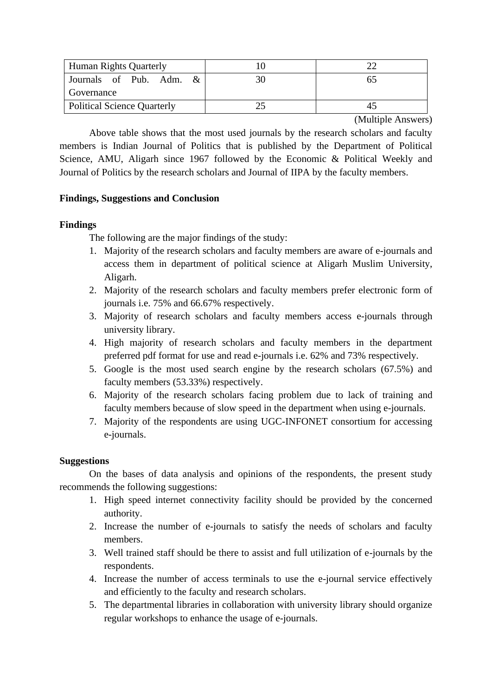| <b>Human Rights Quarterly</b>      |  |  |  |
|------------------------------------|--|--|--|
| Journals of Pub. Adm. $\&$         |  |  |  |
| Governance                         |  |  |  |
| <b>Political Science Quarterly</b> |  |  |  |

(Multiple Answers)

Above table shows that the most used journals by the research scholars and faculty members is Indian Journal of Politics that is published by the Department of Political Science, AMU, Aligarh since 1967 followed by the Economic & Political Weekly and Journal of Politics by the research scholars and Journal of IIPA by the faculty members.

# **Findings, Suggestions and Conclusion**

# **Findings**

The following are the major findings of the study:

- 1. Majority of the research scholars and faculty members are aware of e-journals and access them in department of political science at Aligarh Muslim University, Aligarh.
- 2. Majority of the research scholars and faculty members prefer electronic form of journals i.e. 75% and 66.67% respectively.
- 3. Majority of research scholars and faculty members access e-journals through university library.
- 4. High majority of research scholars and faculty members in the department preferred pdf format for use and read e-journals i.e. 62% and 73% respectively.
- 5. Google is the most used search engine by the research scholars (67.5%) and faculty members (53.33%) respectively.
- 6. Majority of the research scholars facing problem due to lack of training and faculty members because of slow speed in the department when using e-journals.
- 7. Majority of the respondents are using UGC-INFONET consortium for accessing e-journals.

# **Suggestions**

On the bases of data analysis and opinions of the respondents, the present study recommends the following suggestions:

- 1. High speed internet connectivity facility should be provided by the concerned authority.
- 2. Increase the number of e-journals to satisfy the needs of scholars and faculty members.
- 3. Well trained staff should be there to assist and full utilization of e-journals by the respondents.
- 4. Increase the number of access terminals to use the e-journal service effectively and efficiently to the faculty and research scholars.
- 5. The departmental libraries in collaboration with university library should organize regular workshops to enhance the usage of e-journals.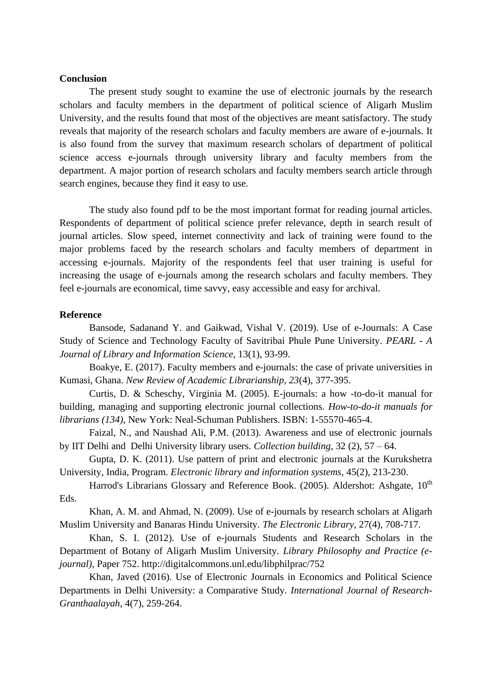#### **Conclusion**

The present study sought to examine the use of electronic journals by the research scholars and faculty members in the department of political science of Aligarh Muslim University, and the results found that most of the objectives are meant satisfactory. The study reveals that majority of the research scholars and faculty members are aware of e-journals. It is also found from the survey that maximum research scholars of department of political science access e-journals through university library and faculty members from the department. A major portion of research scholars and faculty members search article through search engines, because they find it easy to use.

The study also found pdf to be the most important format for reading journal articles. Respondents of department of political science prefer relevance, depth in search result of journal articles. Slow speed, internet connectivity and lack of training were found to the major problems faced by the research scholars and faculty members of department in accessing e-journals. Majority of the respondents feel that user training is useful for increasing the usage of e-journals among the research scholars and faculty members. They feel e-journals are economical, time savvy, easy accessible and easy for archival.

#### **Reference**

Bansode, Sadanand Y. and Gaikwad, Vishal V. (2019). Use of e-Journals: A Case Study of Science and Technology Faculty of Savitribai Phule Pune University. *PEARL - A Journal of Library and Information Science,* 13(1), 93-99.

Boakye, E. (2017). Faculty members and e-journals: the case of private universities in Kumasi, Ghana. *New Review of Academic Librarianship, 23*(4), 377-395.

Curtis, D. & Scheschy, Virginia M. (2005). E-journals: a how -to-do-it manual for building, managing and supporting electronic journal collections. *How-to-do-it manuals for librarians (134)*, New York: Neal-Schuman Publishers. ISBN: 1-55570-465-4.

Faizal, N., and Naushad Ali, P.M. (2013). Awareness and use of electronic journals by IIT Delhi and Delhi University library users. *Collection building*, 32 (2), 57 – 64.

Gupta, D. K. (2011). Use pattern of print and electronic journals at the Kurukshetra University, India, Program. *Electronic library and information systems*, 45(2), 213-230.

Harrod's Librarians Glossary and Reference Book. (2005). Aldershot: Ashgate, 10<sup>th</sup> Eds.

Khan, A. M. and Ahmad, N. (2009). Use of e-journals by research scholars at Aligarh Muslim University and Banaras Hindu University. *The Electronic Library*, 27(4), 708-717.

Khan, S. I. (2012). Use of e-journals Students and Research Scholars in the Department of Botany of Aligarh Muslim University. *Library Philosophy and Practice (ejournal),* Paper 752. http://digitalcommons.unl.edu/libphilprac/752

Khan, Javed (2016). Use of Electronic Journals in Economics and Political Science Departments in Delhi University: a Comparative Study. *International Journal of Research-Granthaalayah*, 4(7), 259-264.